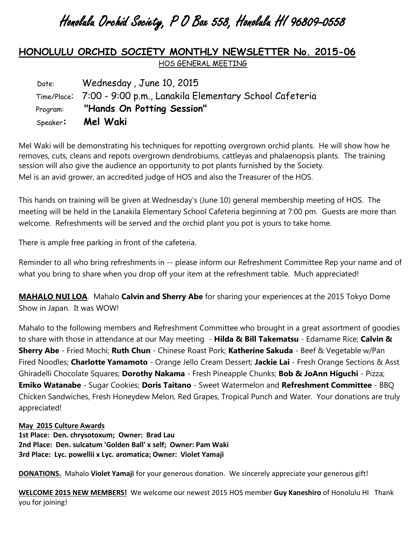## Honolulu Orchid Society, P O Box 558, Honolulu HI 96809-0558

## **HONOLULU ORCHID SOCIETY MONTHLY NEWSLETTER No. 2015-06** HOS GENERAL MEETING

| Date: | Wednesday, June 10, 2015                                           |
|-------|--------------------------------------------------------------------|
|       | Time/Place: 7:00 - 9:00 p.m., Lanakila Elementary School Cafeteria |
|       | Program: "Hands On Potting Session"                                |
|       | Speaker: <b>Mel Waki</b>                                           |

Mel Waki will be demonstrating his techniques for repotting overgrown orchid plants. He will show how he removes, cuts, cleans and repots overgrown dendrobiums, cattleyas and phalaenopsis plants. The training session will also give the audience an opportunity to pot plants furnished by the Society. Mel is an avid grower, an accredited judge of HOS and also the Treasurer of the HOS.

This hands on training will be given at Wednesday's (June 10) general membership meeting of HOS. The meeting will be held in the Lanakila Elementary School Cafeteria beginning at 7:00 pm. Guests are more than welcome. Refreshments will be served and the orchid plant you pot is yours to take home.

There is ample free parking in front of the cafeteria.

Reminder to all who bring refreshments in -- please inform our Refreshment Committee Rep your name and of what you bring to share when you drop off your item at the refreshment table. Much appreciated!

**MAHALO NUI LOA**. Mahalo **Calvin and Sherry Abe** for sharing your experiences at the 2015 Tokyo Dome Show in Japan. It was WOW!

Mahalo to the following members and Refreshment Committee who brought in a great assortment of goodies to share with those in attendance at our May meeting - **Hilda & Bill Takematsu** - Edamame Rice; **Calvin & Sherry Abe** - Fried Mochi; **Ruth Chun** - Chinese Roast Pork; **Katherine Sakuda** - Beef & Vegetable w/Pan Fired Noodles; **Charlotte Yamamoto** - Orange Jello Cream Dessert; **Jackie Lai** - Fresh Orange Sections & Asst Ghiradelli Chocolate Squares; **Dorothy Nakama** - Fresh Pineapple Chunks; **Bob & JoAnn Higuchi** - Pizza; **Emiko Watanabe** - Sugar Cookies; **Doris Taitano** - Sweet Watermelon and **Refreshment Committee** - BBQ Chicken Sandwiches, Fresh Honeydew Melon, Red Grapes, Tropical Punch and Water. Your donations are truly appreciated!

## **May 2015 Culture Awards**

**1st Place: Den. chrysotoxum; Owner: Brad Lau 2nd Place: Den. sulcatum 'Golden Ball' x self; Owner: Pam Waki 3rd Place: Lyc. powellii x Lyc. aromatica; Owner: Violet Yamaji**

**DONATIONS.** Mahalo **Violet Yamaji** for your generous donation. We sincerely appreciate your generous gift!

**WELCOME 2015 NEW MEMBERS!** We welcome our newest 2015 HOS member **Guy Kaneshiro** of Honolulu HI Thank you for joining!